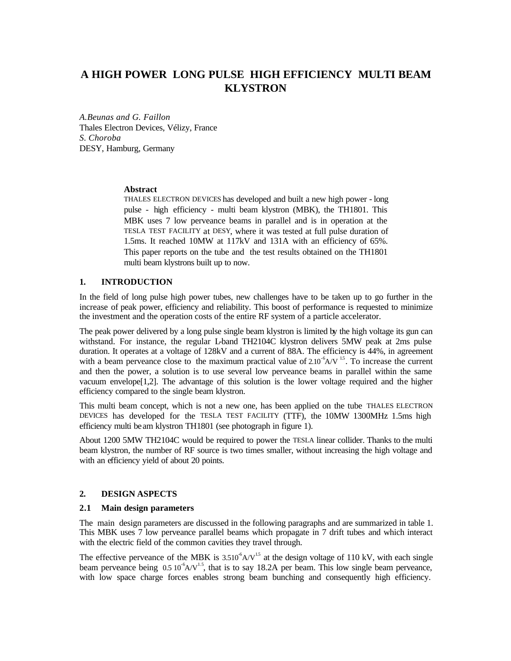# **A HIGH POWER LONG PULSE HIGH EFFICIENCY MULTI BEAM KLYSTRON**

*A.Beunas and G. Faillon*  Thales Electron Devices, Vélizy, France *S. Choroba*  DESY, Hamburg, Germany

## **Abstract**

THALES ELECTRON DEVICES has developed and built a new high power - long pulse - high efficiency - multi beam klystron (MBK), the TH1801. This MBK uses 7 low perveance beams in parallel and is in operation at the TESLA TEST FACILITY at DESY, where it was tested at full pulse duration of 1.5ms. It reached 10MW at 117kV and 131A with an efficiency of 65%. This paper reports on the tube and the test results obtained on the TH1801 multi beam klystrons built up to now.

## **1. INTRODUCTION**

In the field of long pulse high power tubes, new challenges have to be taken up to go further in the increase of peak power, efficiency and reliability. This boost of performance is requested to minimize the investment and the operation costs of the entire RF system of a particle accelerator.

The peak power delivered by a long pulse single beam klystron is limited by the high voltage its gun can withstand. For instance, the regular L-band TH2104C klystron delivers 5MW peak at 2ms pulse duration. It operates at a voltage of 128kV and a current of 88A. The efficiency is 44%, in agreement with a beam perveance close to the maximum practical value of  $2.10^{-6}$ A/V <sup>1.5</sup>. To increase the current and then the power, a solution is to use several low perveance beams in parallel within the same vacuum envelope[1,2]. The advantage of this solution is the lower voltage required and the higher efficiency compared to the single beam klystron.

This multi beam concept, which is not a new one, has been applied on the tube THALES ELECTRON DEVICES has developed for the TESLA TEST FACILITY (TTF), the 10MW 1300MHz 1.5ms high efficiency multi beam klystron TH1801 (see photograph in figure 1).

About 1200 5MW TH2104C would be required to power the TESLA linear collider. Thanks to the multi beam klystron, the number of RF source is two times smaller, without increasing the high voltage and with an efficiency yield of about 20 points.

## **2. DESIGN ASPECTS**

## **2.1 Main design parameters**

The main design parameters are discussed in the following paragraphs and are summarized in table 1. This MBK uses 7 low perveance parallel beams which propagate in 7 drift tubes and which interact with the electric field of the common cavities they travel through.

The effective perveance of the MBK is  $3.510^6$ A/V<sup>15</sup> at the design voltage of 110 kV, with each single beam perveance being  $0.5 10^{-6}$ A/V<sup>1.5</sup>, that is to say 18.2A per beam. This low single beam perveance, with low space charge forces enables strong beam bunching and consequently high efficiency.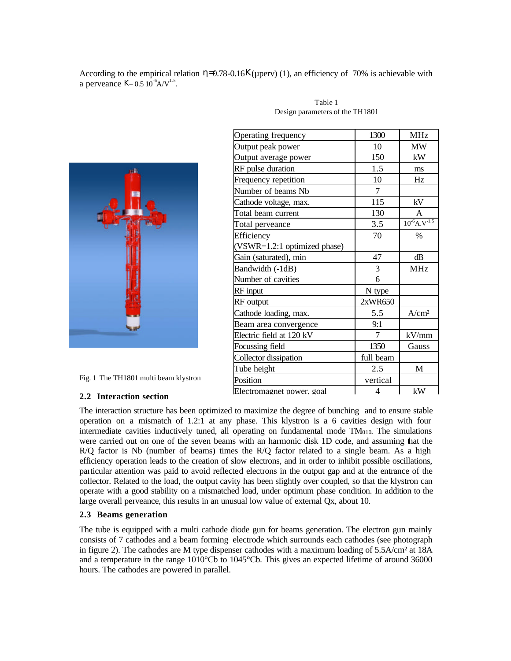According to the empirical relation  $\eta = 0.78 - 0.16K(\mu)$  (1), an efficiency of 70% is achievable with a perveance  $K = 0.5 10^{-6} A/V^{1.5}$ .



Fig. 1 The TH1801 multi beam klystron

#### **2.2 Interaction section**

| Operating frequency          | 1300           | <b>MHz</b>                    |
|------------------------------|----------------|-------------------------------|
| Output peak power            | 10             | <b>MW</b>                     |
| Output average power         | 150            | kW                            |
| RF pulse duration            | 1.5            | ms                            |
| Frequency repetition         | 10             | Hz                            |
| Number of beams Nb           | 7              |                               |
| Cathode voltage, max.        | 115            | kV                            |
| Total beam current           | 130            | A                             |
| Total perveance              | 3.5            | $10^{-6}$ A.V <sup>-1.5</sup> |
| Efficiency                   | 70             | $\%$                          |
| (VSWR=1.2:1 optimized phase) |                |                               |
| Gain (saturated), min        | 47             | dB                            |
| Bandwidth (-1dB)             | 3              | <b>MHz</b>                    |
| Number of cavities           | 6              |                               |
| RF input                     | N type         |                               |
| RF output                    | 2xWR650        |                               |
| Cathode loading, max.        | 5.5            | A/cm <sup>2</sup>             |
| Beam area convergence        | 9:1            |                               |
| Electric field at 120 kV     | $\overline{7}$ | kV/mm                         |
| Focussing field              | 1350           | Gauss                         |
| Collector dissipation        | full beam      |                               |
| Tube height                  | 2.5            | M                             |
| Position                     | vertical       |                               |
| Electromagnet power. goal    | 4              | kW                            |
|                              |                |                               |

Table 1 Design parameters of the TH1801

The interaction structure has been optimized to maximize the degree of bunching and to ensure stable operation on a mismatch of 1.2:1 at any phase. This klystron is a 6 cavities design with four intermediate cavities inductively tuned, all operating on fundamental mode  $TM<sub>010</sub>$ . The simulations were carried out on one of the seven beams with an harmonic disk 1D code, and assuming that the R/Q factor is Nb (number of beams) times the R/Q factor related to a single beam. As a high efficiency operation leads to the creation of slow electrons, and in order to inhibit possible oscillations, particular attention was paid to avoid reflected electrons in the output gap and at the entrance of the collector. Related to the load, the output cavity has been slightly over coupled, so that the klystron can operate with a good stability on a mismatched load, under optimum phase condition. In addition to the large overall perveance, this results in an unusual low value of external Qx, about 10.

## **2.3 Beams generation**

The tube is equipped with a multi cathode diode gun for beams generation. The electron gun mainly consists of 7 cathodes and a beam forming electrode which surrounds each cathodes (see photograph in figure 2). The cathodes are M type dispenser cathodes with a maximum loading of 5.5A/cm<sup>2</sup> at 18A and a temperature in the range 1010°Cb to 1045°Cb. This gives an expected lifetime of around 36000 hours. The cathodes are powered in parallel.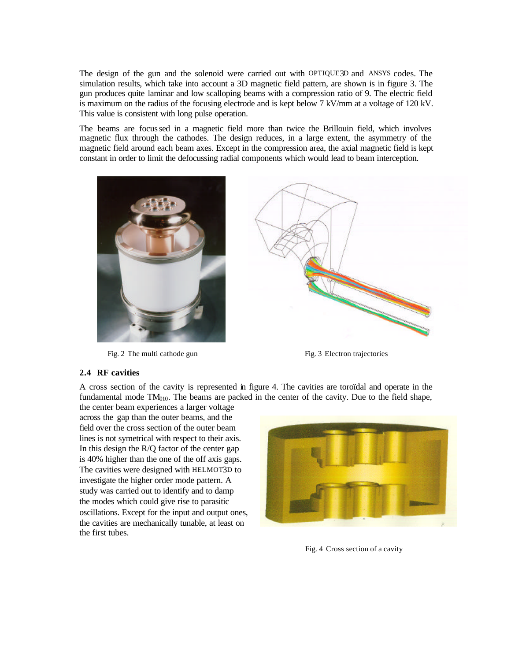The design of the gun and the solenoid were carried out with OPTIQUE3D and ANSYS codes. The simulation results, which take into account a 3D magnetic field pattern, are shown is in figure 3. The gun produces quite laminar and low scalloping beams with a compression ratio of 9. The electric field is maximum on the radius of the focusing electrode and is kept below 7 kV/mm at a voltage of 120 kV. This value is consistent with long pulse operation.

The beams are focussed in a magnetic field more than twice the Brillouin field, which involves magnetic flux through the cathodes. The design reduces, in a large extent, the asymmetry of the magnetic field around each beam axes. Except in the compression area, the axial magnetic field is kept constant in order to limit the defocussing radial components which would lead to beam interception.



Fig. 2 The multi cathode gun Fig. 3 Electron trajectories



## **2.4 RF cavities**

A cross section of the cavity is represented in figure 4. The cavities are toroïdal and operate in the fundamental mode  $TM<sub>010</sub>$ . The beams are packed in the center of the cavity. Due to the field shape,

the center beam experiences a larger voltage across the gap than the outer beams, and the field over the cross section of the outer beam lines is not symetrical with respect to their axis. In this design the R/Q factor of the center gap is 40% higher than the one of the off axis gaps. The cavities were designed with HELMOT3D to investigate the higher order mode pattern. A study was carried out to identify and to damp the modes which could give rise to parasitic oscillations. Except for the input and output ones, the cavities are mechanically tunable, at least on the first tubes.



Fig. 4 Cross section of a cavity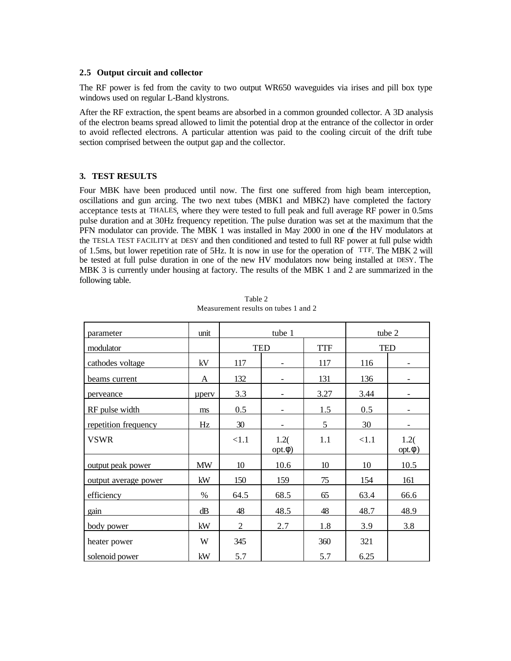#### **2.5 Output circuit and collector**

The RF power is fed from the cavity to two output WR650 waveguides via irises and pill box type windows used on regular L-Band klystrons.

After the RF extraction, the spent beams are absorbed in a common grounded collector. A 3D analysis of the electron beams spread allowed to limit the potential drop at the entrance of the collector in order to avoid reflected electrons. A particular attention was paid to the cooling circuit of the drift tube section comprised between the output gap and the collector.

#### **3. TEST RESULTS**

Four MBK have been produced until now. The first one suffered from high beam interception, oscillations and gun arcing. The two next tubes (MBK1 and MBK2) have completed the factory acceptance tests at THALES, where they were tested to full peak and full average RF power in 0.5ms pulse duration and at 30Hz frequency repetition. The pulse duration was set at the maximum that the PFN modulator can provide. The MBK 1 was installed in May 2000 in one of the HV modulators at the TESLA TEST FACILITY at DESY and then conditioned and tested to full RF power at full pulse width of 1.5ms, but lower repetition rate of 5Hz. It is now in use for the operation of TTF. The MBK 2 will be tested at full pulse duration in one of the new HV modulators now being installed at DESY. The MBK 3 is currently under housing at factory. The results of the MBK 1 and 2 are summarized in the following table.

| parameter            | unit      | tube 1         |                     |            | tube 2     |                     |
|----------------------|-----------|----------------|---------------------|------------|------------|---------------------|
| modulator            |           | <b>TED</b>     |                     | <b>TTF</b> | <b>TED</b> |                     |
| cathodes voltage     | kV        | 117            |                     | 117        | 116        |                     |
| beams current        | A         | 132            |                     | 131        | 136        |                     |
| perveance            | uperv     | 3.3            |                     | 3.27       | 3.44       |                     |
| RF pulse width       | ms        | 0.5            |                     | 1.5        | 0.5        |                     |
| repetition frequency | Hz        | 30             |                     | 5          | 30         |                     |
| <b>VSWR</b>          |           | <1.1           | 1.2(<br>$opt.\phi)$ | 1.1        | < 1.1      | 1.2(<br>$opt.\phi)$ |
| output peak power    | <b>MW</b> | 10             | 10.6                | 10         | 10         | 10.5                |
| output average power | kW        | 150            | 159                 | 75         | 154        | 161                 |
| efficiency           | $\%$      | 64.5           | 68.5                | 65         | 63.4       | 66.6                |
| gain                 | dB        | 48             | 48.5                | 48         | 48.7       | 48.9                |
| body power           | kW        | $\overline{2}$ | 2.7                 | 1.8        | 3.9        | 3.8                 |
| heater power         | W         | 345            |                     | 360        | 321        |                     |
| solenoid power       | kW        | 5.7            |                     | 5.7        | 6.25       |                     |

Table 2 Measurement results on tubes 1 and 2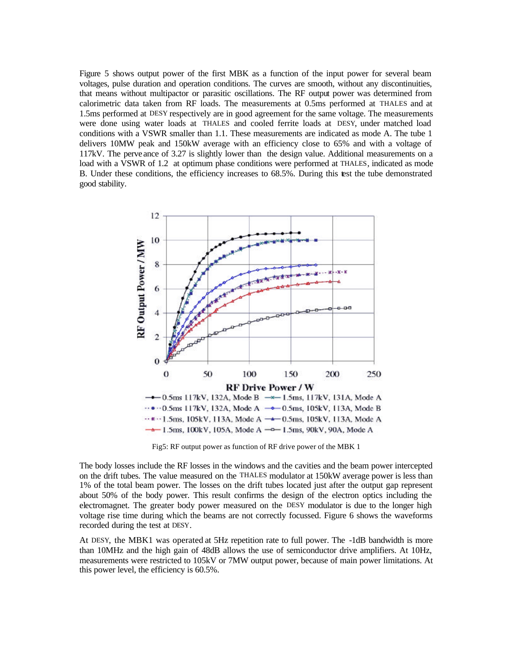Figure 5 shows output power of the first MBK as a function of the input power for several beam voltages, pulse duration and operation conditions. The curves are smooth, without any discontinuities, that means without multipactor or parasitic oscillations. The RF output power was determined from calorimetric data taken from RF loads. The measurements at 0.5ms performed at THALES and at 1.5ms performed at DESY respectively are in good agreement for the same voltage. The measurements were done using water loads at THALES and cooled ferrite loads at DESY, under matched load conditions with a VSWR smaller than 1.1. These measurements are indicated as mode A. The tube 1 delivers 10MW peak and 150kW average with an efficiency close to 65% and with a voltage of 117kV. The perve ance of 3.27 is slightly lower than the design value. Additional measurements on a load with a VSWR of 1.2 at optimum phase conditions were performed at THALES, indicated as mode B. Under these conditions, the efficiency increases to 68.5%. During this test the tube demonstrated good stability.



Fig5: RF output power as function of RF drive power of the MBK 1

The body losses include the RF losses in the windows and the cavities and the beam power intercepted on the drift tubes. The value measured on the THALES modulator at 150kW average power is less than 1% of the total beam power. The losses on the drift tubes located just after the output gap represent about 50% of the body power. This result confirms the design of the electron optics including the electromagnet. The greater body power measured on the DESY modulator is due to the longer high voltage rise time during which the beams are not correctly focussed. Figure 6 shows the waveforms recorded during the test at DESY.

At DESY, the MBK1 was operated at 5Hz repetition rate to full power. The -1dB bandwidth is more than 10MHz and the high gain of 48dB allows the use of semiconductor drive amplifiers. At 10Hz, measurements were restricted to 105kV or 7MW output power, because of main power limitations. At this power level, the efficiency is 60.5%.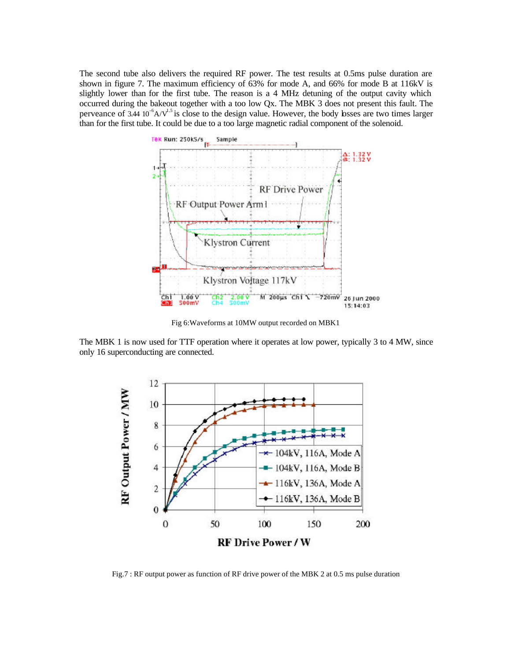The second tube also delivers the required RF power. The test results at 0.5ms pulse duration are shown in figure 7. The maximum efficiency of 63% for mode A, and 66% for mode B at 116kV is slightly lower than for the first tube. The reason is a 4 MHz detuning of the output cavity which occurred during the bakeout together with a too low Qx. The MBK 3 does not present this fault. The perveance of  $3.44\,10^{-6}$ A/V<sup>1.5</sup> is close to the design value. However, the body losses are two times larger than for the first tube. It could be due to a too large magnetic radial component of the solenoid.



Fig 6:Waveforms at 10MW output recorded on MBK1

The MBK 1 is now used for TTF operation where it operates at low power, typically 3 to 4 MW, since only 16 superconducting are connected.



Fig.7 : RF output power as function of RF drive power of the MBK 2 at 0.5 ms pulse duration